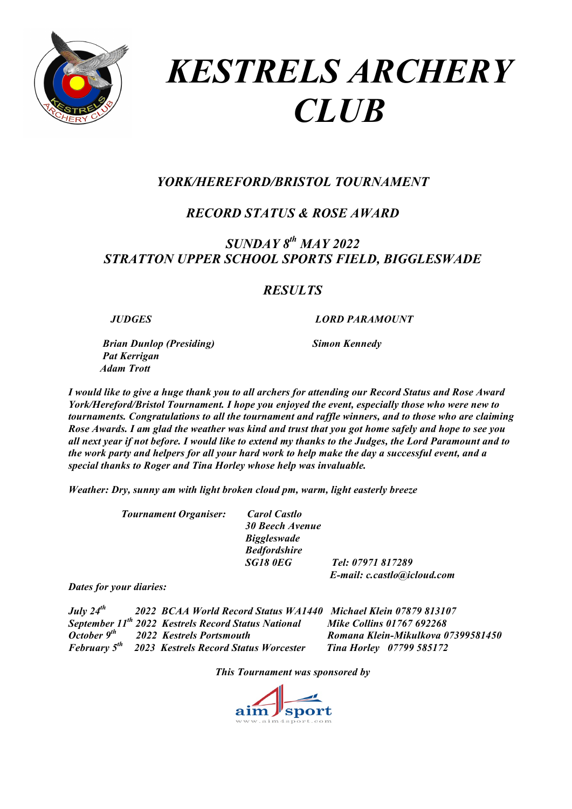

# *KESTRELS ARCHERY CLUB*

# *YORK/HEREFORD/BRISTOL TOURNAMENT*

# *RECORD STATUS & ROSE AWARD*

# *SUNDAY 8th MAY 2022 STRATTON UPPER SCHOOL SPORTS FIELD, BIGGLESWADE*

## *RESULTS*

 *JUDGES LORD PARAMOUNT*

*Brian Dunlop (Presiding)* Simon Kennedy  *Pat Kerrigan Adam Trott* 

*I would like to give a huge thank you to all archers for attending our Record Status and Rose Award York/Hereford/Bristol Tournament. I hope you enjoyed the event, especially those who were new to tournaments. Congratulations to all the tournament and raffle winners, and to those who are claiming Rose Awards. I am glad the weather was kind and trust that you got home safely and hope to see you all next year if not before. I would like to extend my thanks to the Judges, the Lord Paramount and to the work party and helpers for all your hard work to help make the day a successful event, and a special thanks to Roger and Tina Horley whose help was invaluable.*

*Weather: Dry, sunny am with light broken cloud pm, warm, light easterly breeze*

 *Tournament Organiser: Carol Castlo*

 *30 Beech Avenue Biggleswade Bedfordshire*

 *SG18 0EG Tel: 07971 817289 E-mail: c.castlo@icloud.com*

*Dates for your diaries:*

| July $24^{th}$ | 2022 BCAA World Record Status WA1440 Michael Klein 07879 813107      |                                    |
|----------------|----------------------------------------------------------------------|------------------------------------|
|                | September 11 <sup>th</sup> 2022 Kestrels Record Status National      | <b>Mike Collins 01767 692268</b>   |
|                | October $9^{th}$ 2022 Kestrels Portsmouth                            | Romana Klein-Mikulkova 07399581450 |
|                | <b>February 5<sup>th</sup></b> 2023 Kestrels Record Status Worcester | <b>Tina Horley</b> 07799 585172    |

*This Tournament was sponsored by*

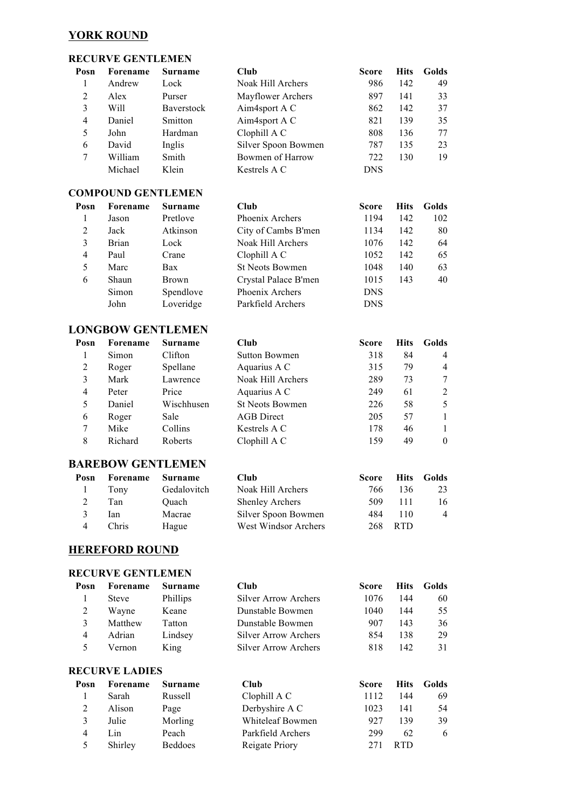#### **YORK ROUND**

#### **RECURVE GENTLEMEN**

| Posn                    | Forename                  | Surname                  | Club                        | <b>Score</b> | <b>Hits</b> | Golds            |
|-------------------------|---------------------------|--------------------------|-----------------------------|--------------|-------------|------------------|
| 1                       | Andrew                    | Lock                     | Noak Hill Archers           | 986          | 142         | 49               |
| $\overline{2}$          | Alex                      | Purser                   | Mayflower Archers           | 897          | 141         | 33               |
| 3                       | Will                      | Baverstock               | Aim4sport A C               | 862          | 142         | 37               |
| $\overline{4}$          | Daniel                    | Smitton                  | Aim4sport A C               | 821          | 139         | 35               |
| 5                       | John                      | Hardman                  | Clophill A C                | 808          | 136         | 77               |
| 6                       | David                     | Inglis                   | Silver Spoon Bowmen         | 787          | 135         | 23               |
| 7                       | William                   | Smith                    | Bowmen of Harrow            | 722          | 130         | 19               |
|                         | Michael                   | Klein                    | Kestrels A C                | <b>DNS</b>   |             |                  |
|                         | <b>COMPOUND GENTLEMEN</b> |                          |                             |              |             |                  |
| Posn                    | Forename                  | <b>Surname</b>           | Club                        | <b>Score</b> | <b>Hits</b> | Golds            |
| 1                       | Jason                     | Pretlove                 | Phoenix Archers             | 1194         | 142         | 102              |
| $\overline{2}$          | Jack                      | Atkinson                 | City of Cambs B'men         | 1134         | 142         | 80               |
| 3                       | <b>Brian</b>              | Lock                     | Noak Hill Archers           | 1076         | 142         | 64               |
| $\overline{4}$          | Paul                      | Crane                    | Clophill A C                | 1052         | 142         | 65               |
| 5                       | Marc                      | Bax                      | <b>St Neots Bowmen</b>      | 1048         | 140         | 63               |
| 6                       | Shaun                     | <b>Brown</b>             | Crystal Palace B'men        | 1015         | 143         | 40               |
|                         | Simon                     | Spendlove                | Phoenix Archers             | <b>DNS</b>   |             |                  |
|                         | John                      | Loveridge                | Parkfield Archers           | <b>DNS</b>   |             |                  |
|                         |                           |                          |                             |              |             |                  |
|                         |                           | <b>LONGBOW GENTLEMEN</b> |                             |              |             |                  |
| Posn                    | Forename                  | <b>Surname</b>           | Club                        | <b>Score</b> | <b>Hits</b> | Golds            |
| 1                       | Simon                     | Clifton                  | <b>Sutton Bowmen</b>        | 318          | 84          | 4                |
| $\overline{2}$          | Roger                     | Spellane                 | Aquarius A C                | 315          | 79          | 4                |
| $\overline{\mathbf{3}}$ | Mark                      | Lawrence                 | Noak Hill Archers           | 289          | 73          | 7                |
| $\overline{4}$          | Peter                     | Price                    | Aquarius A C                | 249          | 61          | $\overline{2}$   |
| 5                       | Daniel                    | Wischhusen               | <b>St Neots Bowmen</b>      | 226          | 58          | 5                |
| 6                       | Roger                     | Sale                     | <b>AGB</b> Direct           | 205          | 57          | $\mathbf{1}$     |
| 7                       | Mike                      | Collins                  | Kestrels A C                | 178          | 46          | 1                |
| 8                       | Richard                   | Roberts                  | Clophill A C                | 159          | 49          | $\boldsymbol{0}$ |
|                         | <b>BAREBOW GENTLEMEN</b>  |                          |                             |              |             |                  |
| Posn                    | Forename                  | Surname                  | Cl <sub>u</sub>             | <b>Score</b> | <b>Hits</b> | Golds            |
| 1                       | Tony                      | Gedalovitch              | Noak Hill Archers           | 766          | 136         | 23               |
| $\overline{c}$          | Tan                       | Quach                    | <b>Shenley Archers</b>      | 509          | 111         | 16               |
| 3                       | Ian                       | Macrae                   | Silver Spoon Bowmen         | 484          | 110         | 4                |
| $\overline{4}$          | Chris                     | Hague                    | West Windsor Archers        | 268          | <b>RTD</b>  |                  |
|                         | <b>HEREFORD ROUND</b>     |                          |                             |              |             |                  |
|                         | <b>RECURVE GENTLEMEN</b>  |                          |                             |              |             |                  |
| Posn                    | Forename                  | <b>Surname</b>           | Club                        | <b>Score</b> | <b>Hits</b> | Golds            |
| 1                       | <b>Steve</b>              | Phillips                 | <b>Silver Arrow Archers</b> | 1076         | 144         | 60               |
| $\overline{2}$          | Wayne                     | Keane                    | Dunstable Bowmen            | 1040         | 144         | 55               |
| 3                       | Matthew                   | Tatton                   | Dunstable Bowmen            | 907          | 143         | 36               |
| $\overline{4}$          | Adrian                    | Lindsey                  | <b>Silver Arrow Archers</b> | 854          | 138         | 29               |
| 5                       | Vernon                    | King                     | <b>Silver Arrow Archers</b> | 818          | 142         | 31               |
|                         |                           |                          |                             |              |             |                  |
|                         | <b>RECURVE LADIES</b>     |                          |                             |              |             |                  |
| Posn                    | Forename                  | Surname                  | Club                        | <b>Score</b> | <b>Hits</b> | Golds            |
| 1                       | Sarah                     | Russell                  | Clophill A C                | 1112         | 144         | 69               |
| $\overline{2}$          | Alison                    | Page                     | Derbyshire A C              | 1023         | 141         | 54               |
| 3                       | Julie                     | Morling                  | Whiteleaf Bowmen            | 927          | 139         | 39               |

4 Lin Peach Parkfield Archers 299 62 6<br>5 Shirley Beddoes Reigate Priory 271 RTD Shirley Beddoes Reigate Priory 271 RTD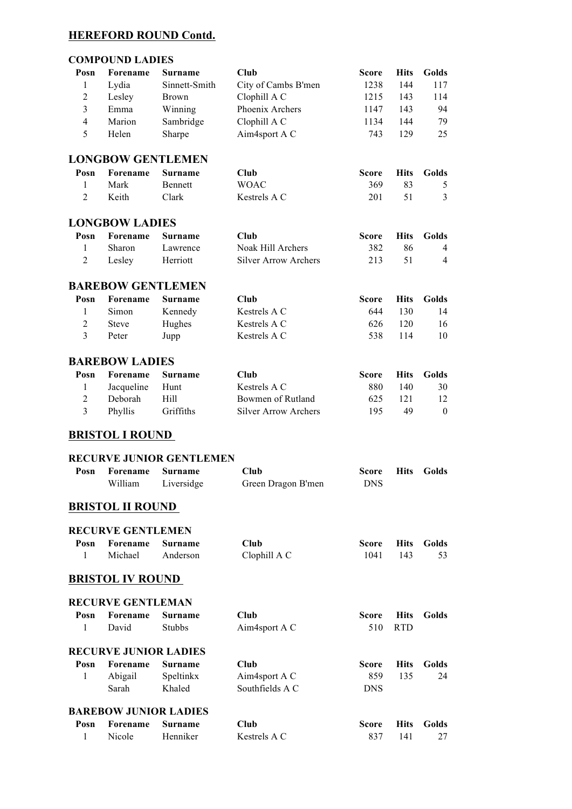# **HEREFORD ROUND Contd.**

### **COMPOUND LADIES**

| Posn           | Forename                     | <b>Surname</b>                  | <b>Club</b>                 | <b>Score</b> | <b>Hits</b> | Golds            |
|----------------|------------------------------|---------------------------------|-----------------------------|--------------|-------------|------------------|
|                |                              |                                 |                             |              |             |                  |
| 1              | Lydia                        | Sinnett-Smith                   | City of Cambs B'men         | 1238         | 144         | 117              |
| $\overline{2}$ | Lesley                       | <b>Brown</b>                    | Clophill A C                | 1215         | 143         | 114              |
| 3              | Emma                         | Winning                         | Phoenix Archers             | 1147         | 143         | 94               |
| $\overline{4}$ | Marion                       | Sambridge                       | Clophill A C                | 1134         | 144         | 79               |
| 5              | Helen                        | Sharpe                          | Aim4sport A C               | 743          | 129         | 25               |
|                | <b>LONGBOW GENTLEMEN</b>     |                                 |                             |              |             |                  |
| Posn           | Forename                     | <b>Surname</b>                  | Club                        | <b>Score</b> | <b>Hits</b> | Golds            |
| 1              | Mark                         | Bennett                         | <b>WOAC</b>                 | 369          | 83          | 5                |
| $\overline{2}$ | Keith                        | Clark                           | Kestrels A C                | 201          | 51          | 3                |
|                | <b>LONGBOW LADIES</b>        |                                 |                             |              |             |                  |
|                |                              |                                 |                             |              |             |                  |
| Posn           | Forename                     | Surname                         | Club                        | <b>Score</b> | <b>Hits</b> | Golds            |
| 1              | Sharon                       | Lawrence                        | Noak Hill Archers           | 382          | 86          | 4                |
| $\overline{2}$ | Lesley                       | Herriott                        | <b>Silver Arrow Archers</b> | 213          | 51          | 4                |
|                | <b>BAREBOW GENTLEMEN</b>     |                                 |                             |              |             |                  |
| Posn           | Forename                     | <b>Surname</b>                  | Club                        | <b>Score</b> | <b>Hits</b> | Golds            |
| 1              | Simon                        | Kennedy                         | Kestrels A C                | 644          | 130         | 14               |
| $\overline{2}$ | <b>Steve</b>                 | Hughes                          | Kestrels A C                | 626          | 120         | 16               |
| 3              | Peter                        | Jupp                            | Kestrels A C                | 538          | 114         | 10               |
|                |                              |                                 |                             |              |             |                  |
|                | <b>BAREBOW LADIES</b>        |                                 |                             |              |             |                  |
| Posn           | Forename                     | <b>Surname</b>                  | Club                        | <b>Score</b> | <b>Hits</b> | Golds            |
| 1              | Jacqueline                   | Hunt                            | Kestrels A C                | 880          | 140         | 30               |
| $\overline{2}$ | Deborah                      | Hill                            | Bowmen of Rutland           | 625          | 121         | 12               |
| 3              | Phyllis                      | Griffiths                       | <b>Silver Arrow Archers</b> | 195          | 49          | $\boldsymbol{0}$ |
|                | <b>BRISTOL I ROUND</b>       |                                 |                             |              |             |                  |
|                |                              | <b>RECURVE JUNIOR GENTLEMEN</b> |                             |              |             |                  |
| Posn           | Forename                     | <b>Surname</b>                  | Club                        | <b>Score</b> | <b>Hits</b> | Golds            |
|                | William                      | Liversidge                      | Green Dragon B'men          | <b>DNS</b>   |             |                  |
|                | <b>BRISTOL II ROUND</b>      |                                 |                             |              |             |                  |
|                |                              |                                 |                             |              |             |                  |
|                | <b>RECURVE GENTLEMEN</b>     |                                 |                             |              |             |                  |
| Posn           | Forename                     | Surname                         | Club                        | <b>Score</b> | <b>Hits</b> | Golds            |
| 1              | Michael                      | Anderson                        | Clophill A C                | 1041         | 143         | 53               |
|                | <b>BRISTOL IV ROUND</b>      |                                 |                             |              |             |                  |
|                | <b>RECURVE GENTLEMAN</b>     |                                 |                             |              |             |                  |
| Posn           | <b>Forename</b>              | Surname                         | Cl <sub>u</sub>             | Score        | <b>Hits</b> | Golds            |
| 1              | David                        | <b>Stubbs</b>                   | Aim4sport A C               | 510          | <b>RTD</b>  |                  |
|                | <b>RECURVE JUNIOR LADIES</b> |                                 |                             |              |             |                  |
| Posn           | Forename                     | Surname                         | Club                        | Score        | <b>Hits</b> | Golds            |
| 1              | Abigail                      | Speltinkx                       | Aim4sport A C               | 859          | 135         | 24               |
|                | Sarah                        | Khaled                          | Southfields A C             | <b>DNS</b>   |             |                  |
|                |                              |                                 |                             |              |             |                  |
|                | <b>BAREBOW JUNIOR LADIES</b> |                                 |                             |              |             |                  |
| Posn           | Forename                     | <b>Surname</b>                  | Club                        | Score        | <b>Hits</b> | Golds            |
| 1              | Nicole                       | Henniker                        | Kestrels A C                | 837          | 141         | 27               |
|                |                              |                                 |                             |              |             |                  |